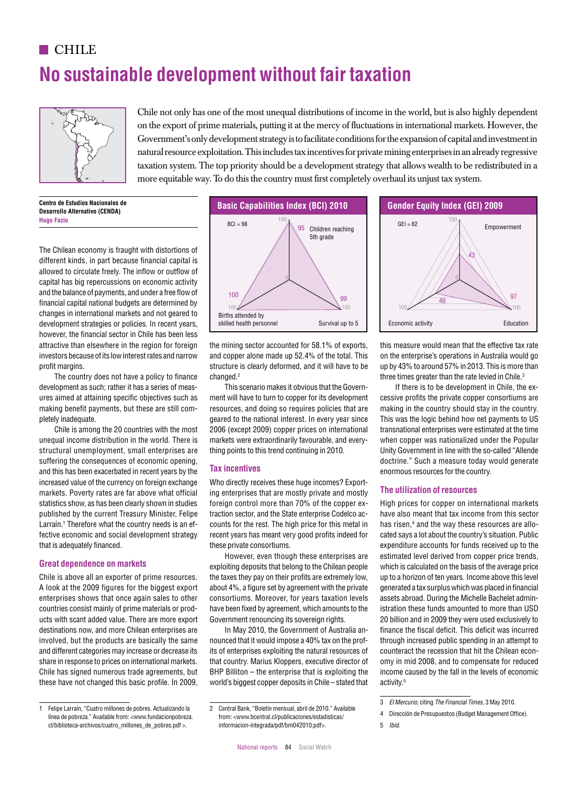## **CHILE**

# **No sustainable development without fair taxation** 56



Chile not only has one of the most unequal distributions of income in the world, but is also highly dependent on the export of prime materials, putting it at the mercy of fluctuations in international markets. However, the Government's only development strategy is to facilitate conditions for the expansion of capital and investment in natural resource exploitation. This includes tax incentives for private mining enterprises in an already regressive taxation system. The top priority should be a development strategy that allows wealth to be redistributed in a more equitable way. To do this the country must first completely overhaul its unjust tax system.  $\mathcal{B}^{\mathcal{B}}$  of  $\mathcal{B}^{\mathcal{B}}$  between  $\mathcal{B}^{\mathcal{B}}$  and  $\mathcal{B}^{\mathcal{B}}$  of  $\mathcal{B}^{\mathcal{B}}$  of Bangladesh  $\mathcal{B}^{\mathcal{B}}$  and  $\mathcal{B}^{\mathcal{B}}$  of  $\mathcal{B}^{\mathcal{B}}$  bence  $\mathcal{B}^{\mathcal{B}}$  bence  $\mathcal{B}^{\mathcal{B}}$  bence  $\mathcal$ IEG of Argentina = 72 IEG of Argentina = 53 IEG of Brazil = 53 IEG of Brazil = 53 IEG of Brazil = 53 IEG of Brazil = 73 IEG of Brazil = 73 IEG of Brazil = 74 IEG of Brazil = 74 IEG of Brazil = 73 IEG of Bulgaria = 73 IEG o

**Centro de Estudios Nacionales de Desarrollo Alternativo (CENDA) Hugo Fazio**

The Chilean economy is fraught with distortions of different kinds, in part because financial capital is allowed to circulate freely. The inflow or outflow of 11 capital has big repercussions on economic activity 0 and the balance of payments, and under a free flow of financial capital national budgets are determined by marional explicational subsets are determined by changes in international markets and not geared to development strategies or policies. In recent years, however, the financial sector in Chile has been less attractive than elsewhere in the region for foreign investors because of its low interest rates and narrow profit margins. attractive than elsewhere in the region for foreign the mining sector accounted for 58.1% of exports. This measure would mean that the effective tax rate

The country does not have a policy to finance development as such; rather it has a series of measures aimed at attaining specific objectives such as 100 making benefit payments, but these are still completely inadequate.

Chile is among the 20 countries with the most unequal income distribution in the world. There is structural unemployment, small enterprises are suffering the consequences of economic opening, and this has been exacerbated in recent years by the increased value of the currency on foreign exchange markets. Poverty rates are far above what official statistics show, as has been clearly shown in studies published by the current Treasury Minister, Felipe Larraín.<sup>1</sup> Therefore what the country needs is an effective economic and social development strategy that is adequately financed. Larrain.<sup>1</sup> Therefore what the country needs is an ef- counts for the rest. The high price for this metal in has risen.<sup>4</sup> and the way these resources are allo-

#### **Great dependence on markets**

Chile is above all an exporter of prime resources. A look at the 2009 figures for the biggest export 100 enterprises shows that once again sales to other countries consist mainly of prime materials or products with scant added value. There are more export destinations now, and more Chilean enterprises are involved, but the products are basically the same and different categories may increase or decrease its share in response to prices on international markets. Chile has signed numerous trade agreements, but these have not changed this basic profile. In 2009,



the mining sector accounted for 58.1% of exports, and copper alone made up 52.4% of the total. This structure is clearly deformed, and it will have to be changed.<sup>2</sup>

This scenario makes it obvious that the Government will have to turn to copper for its development resources, and doing so requires policies that are geared to the national interest. In every year since 2006 (except 2009) copper prices on international markets were extraordinarily favourable, and everything points to this trend continuing in 2010.

#### **Tax incentives**

Who directly receives these huge incomes? Exporting enterprises that are mostly private and mostly foreign control more than 70% of the copper extraction sector, and the State enterprise Codelco accounts for the rest. The high price for this metal in recent years has meant very good profits indeed for these private consortiums.

However, even though these enterprises are exploiting deposits that belong to the Chilean people the taxes they pay on their profits are extremely low, about 4%, a figure set by agreement with the private consortiums. Moreover, for years taxation levels have been fixed by agreement, which amounts to the Government renouncing its sovereign rights.

In May 2010, the Government of Australia announced that it would impose a 40% tax on the prof-0 its of enterprises exploiting the natural resources of that country. Marius Kloppers, executive director of  $BHP$  Billiton  $-$  the enterprise that is exploiting the world's biggest copper deposits in Chile – stated that



this measure would mean that the effective tax rate on the enterprise's operations in Australia would go up by 43% to around 57% in 2013. This is more than three times greater than the rate levied in Chile.<sup>3</sup> IEG of Chile = 62 IEG of Colombia = 75 IEG of Croatia = 75 IEG of Czech Republic = 68 IEG of Egypt = 44

If there is to be development in Chile, the excessive profits the private copper consortiums are making in the country should stay in the country. This was the logic behind how net payments to US transnational enterprises were estimated at the time when copper was nationalized under the Popular Unity Government in line with the so-called "Allende doctrine." Such a measure today would generate enormous resources for the country.

#### **The utilization of resources**

High prices for copper on international markets have also meant that tax income from this sector has risen,<sup>4</sup> and the way these resources are allocated says a lot about the country's situation. Public expenditure accounts for funds received up to the estimated level derived from copper price trends, which is calculated on the basis of the average price up to a horizon of ten years. Income above this level generated a tax surplus which was placed in financial assets abroad. During the Michelle Bachelet administration these funds amounted to more than USD 20 billion and in 2009 they were used exclusively to 38 finance the fiscal deficit. This deficit was incurred through increased public spending in an attempt to 0 counteract the recession that hit the Chilean economy in mid 2008, and to compensate for reduced income caused by the fall in the levels of economic activity.5  $\sim$  8 IIEG of Germany multiple states and the Germany and the Ghana energy of the metal in  $\sim$  8 IEG of  $\sim$  10 IEG of  $\sim$  10 IEG of  $\sim$  10 IEG of  $\sim$  10 IEG of India  $\sim$  10 IEG of India  $\sim$  10 IEG of India  $\sim$  10

<sup>1</sup> Felipe Larraín, "Cuatro millones de pobres. Actualizando la IEG of Malta = 58 línea de pobreza." Available from: <www.fundacionpobreza. cl/biblioteca-archivos/cuatro\_millones\_de\_pobres.pdf >.

<sup>2</sup> Central Bank, "Boletín mensual, abril de 2010." Available from: <www.bcentral.cl/publicaciones/estadisticas/ informacion-integrada/pdf/bm042010.pdf>.

<sup>3</sup> *El Mercurio*, citing *The Financial Times*, 3 May 2010.  $\frac{1}{\sqrt{1-\frac{1}{2}}}\int_{0}^{\frac{1}{2}}\frac{1}{\sqrt{1-\frac{1}{2}}}\frac{1}{\sqrt{1-\frac{1}{2}}}\frac{1}{\sqrt{1-\frac{1}{2}}}\frac{1}{\sqrt{1-\frac{1}{2}}}\frac{1}{\sqrt{1-\frac{1}{2}}}\frac{1}{\sqrt{1-\frac{1}{2}}}\frac{1}{\sqrt{1-\frac{1}{2}}}\frac{1}{\sqrt{1-\frac{1}{2}}}\frac{1}{\sqrt{1-\frac{1}{2}}}\frac{1}{\sqrt{1-\frac{1}{2}}}\frac{1}{\sqrt{1-\frac{1}{2}}}\frac{1}{\sqrt{1-\frac{1}{2$ Ing The Financial Times, 3 May 2010.

<sup>4</sup> Dirección de Presupuestos (Budget Management Office).

<sup>5</sup> *Ibid*.